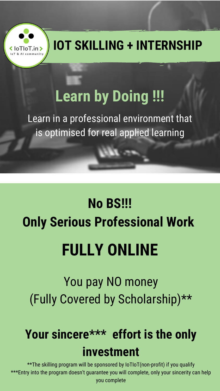# **Learn by Doing !!!**

Learn in a professional environment that is optimised for real applied learning

# **No BS!!! Only Serious Professional Work**

## You pay NO money (Fully Covered by Scholarship)\*\*

# **Your sincere\*\*\* effort is the only investment**

\*\*The skilling program will be sponsored by IoTIoT(non-profit) if you qualify \*\*\*Entry into the program doesn't guarantee you will complete, only your sincerity can help you complete



## **FULLY ONLINE**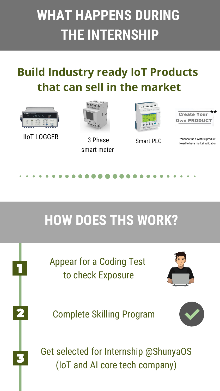# **WHAT HAPPENS DURING THE INTERNSHIP**

### **Build Industry ready IoT Products that can sell in the market**

# **HOW DOES THS WORK?**





\*\* **Create You** Own PRODI

**Smart PLC** Weed to have market validation

### Appear for a Coding Test to check Exposure



#### Complete Skilling Program



#### Get selected for Internship @ShunyaOS (IoT and AI core tech company)



IIoT LOGGER



3 Phase smart meter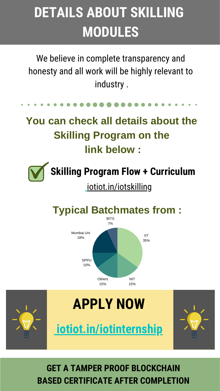# **DETAILS ABOUT SKILLING MODULES**

We believe in complete transparency and honesty and all work will be highly relevant to industry .

## **You can check all details about the Skilling Program on the link below :**





#### **GET A TAMPER PROOF BLOCKCHAIN BASED CERTIFICATE AFTER COMPLETION**

[iotiot.in/iotskilling](http://iotiot.in/iotskilling/)

**Skilling Program Flow + Curriculum**

### **Typical Batchmates from :**

IIT 35%